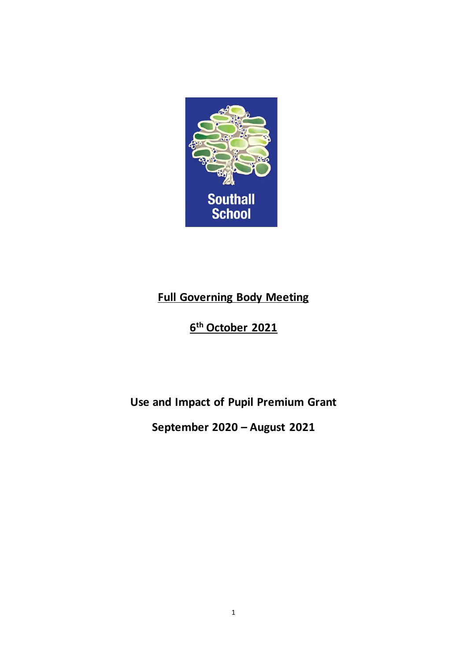

# **Full Governing Body Meeting**

# **6 th October 2021**

# **Use and Impact of Pupil Premium Grant**

# **September 2020 – August 2021**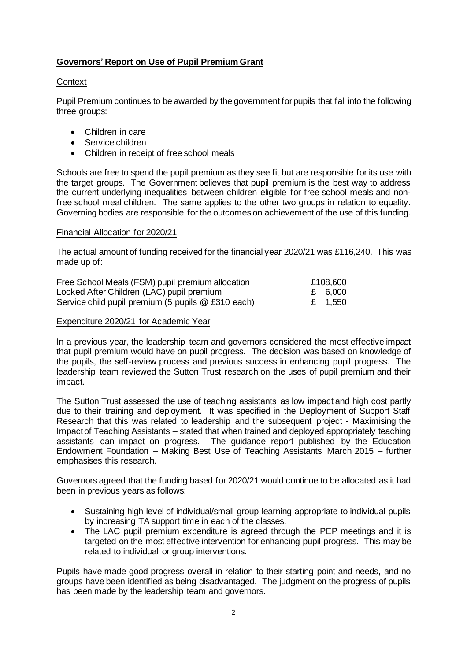## **Governors' Report on Use of Pupil Premium Grant**

## **Context**

Pupil Premium continues to be awarded by the government forpupils that fall into the following three groups:

- Children in care
- Service children
- Children in receipt of free school meals

Schools are free to spend the pupil premium as they see fit but are responsible for its use with the target groups. The Government believes that pupil premium is the best way to address the current underlying inequalities between children eligible for free school meals and nonfree school meal children. The same applies to the other two groups in relation to equality. Governing bodies are responsible for the outcomes on achievement of the use of this funding.

#### Financial Allocation for 2020/21

The actual amount of funding received for the financial year 2020/21 was £116,240. This was made up of:

| Free School Meals (FSM) pupil premium allocation   | £108,600 |
|----------------------------------------------------|----------|
| Looked After Children (LAC) pupil premium          | £ 6,000  |
| Service child pupil premium (5 pupils @ £310 each) | £ 1,550  |

#### Expenditure 2020/21 for Academic Year

In a previous year, the leadership team and governors considered the most effective impact that pupil premium would have on pupil progress. The decision was based on knowledge of the pupils, the self-review process and previous success in enhancing pupil progress. The leadership team reviewed the Sutton Trust research on the uses of pupil premium and their impact.

The Sutton Trust assessed the use of teaching assistants as low impact and high cost partly due to their training and deployment. It was specified in the Deployment of Support Staff Research that this was related to leadership and the subsequent project - Maximising the Impactof Teaching Assistants – stated that when trained and deployed appropriately teaching assistants can impact on progress. The guidance report published by the Education Endowment Foundation – Making Best Use of Teaching Assistants March 2015 – further emphasises this research.

Governors agreed that the funding based for 2020/21 would continue to be allocated as it had been in previous years as follows:

- Sustaining high level of individual/small group learning appropriate to individual pupils by increasing TA support time in each of the classes.
- The LAC pupil premium expenditure is agreed through the PEP meetings and it is targeted on the most effective intervention for enhancing pupil progress. This may be related to individual or group interventions.

Pupils have made good progress overall in relation to their starting point and needs, and no groups have been identified as being disadvantaged. The judgment on the progress of pupils has been made by the leadership team and governors.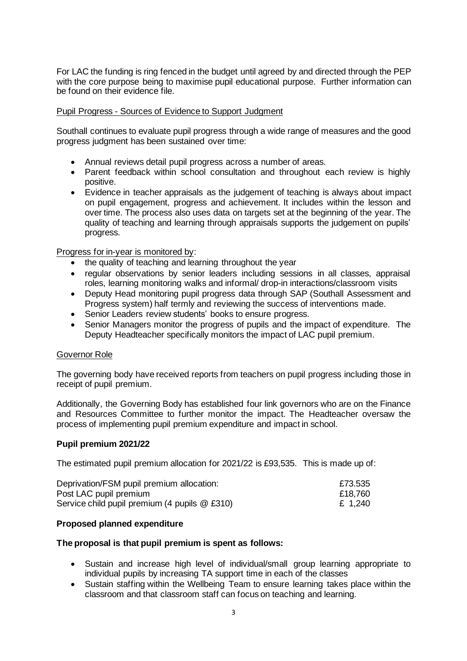For LAC the funding is ring fenced in the budget until agreed by and directed through the PEP with the core purpose being to maximise pupil educational purpose. Further information can be found on their evidence file.

## Pupil Progress - Sources of Evidence to Support Judgment

Southall continues to evaluate pupil progress through a wide range of measures and the good progress judgment has been sustained over time:

- Annual reviews detail pupil progress across a number of areas.
- Parent feedback within school consultation and throughout each review is highly positive.
- Evidence in teacher appraisals as the judgement of teaching is always about impact on pupil engagement, progress and achievement. It includes within the lesson and over time. The process also uses data on targets set at the beginning of the year. The quality of teaching and learning through appraisals supports the judgement on pupils' progress.

Progress for in-year is monitored by:

- the quality of teaching and learning throughout the year
- regular observations by senior leaders including sessions in all classes, appraisal roles, learning monitoring walks and informal/ drop-in interactions/classroom visits
- Deputy Head monitoring pupil progress data through SAP (Southall Assessment and Progress system) half termly and reviewing the success of interventions made.
- Senior Leaders review students' books to ensure progress.
- Senior Managers monitor the progress of pupils and the impact of expenditure. The Deputy Headteacher specifically monitors the impact of LAC pupil premium.

### Governor Role

The governing body have received reports from teachers on pupil progress including those in receipt of pupil premium.

Additionally, the Governing Body has established four link governors who are on the Finance and Resources Committee to further monitor the impact. The Headteacher oversaw the process of implementing pupil premium expenditure and impact in school.

### **Pupil premium 2021/22**

The estimated pupil premium allocation for 2021/22 is £93,535. This is made up of:

| Deprivation/FSM pupil premium allocation:       | £73.535 |
|-------------------------------------------------|---------|
| Post LAC pupil premium                          | £18,760 |
| Service child pupil premium (4 pupils $@$ £310) | £ 1,240 |

### **Proposed planned expenditure**

### **The proposal is that pupil premium is spent as follows:**

- Sustain and increase high level of individual/small group learning appropriate to individual pupils by increasing TA support time in each of the classes
- Sustain staffing within the Wellbeing Team to ensure learning takes place within the classroom and that classroom staff can focus on teaching and learning.